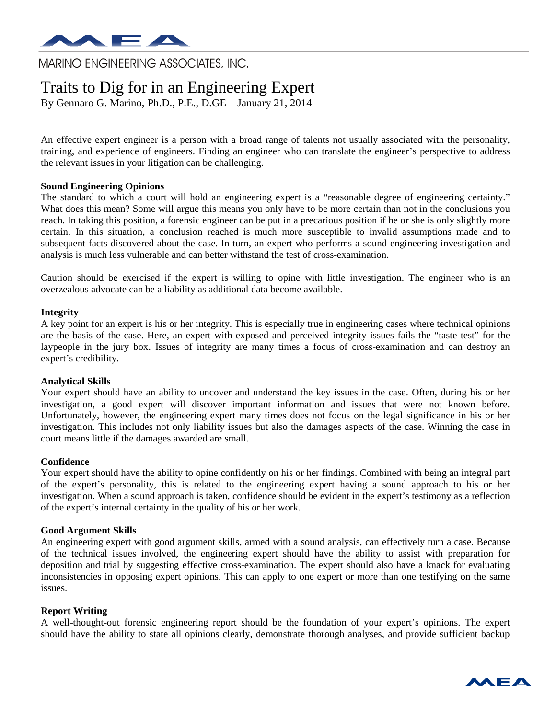

**MARINO ENGINEERING ASSOCIATES, INC.** 

# Traits to Dig for in an Engineering Expert

By Gennaro G. Marino, Ph.D., P.E., D.GE – January 21, 2014

An effective expert engineer is a person with a broad range of talents not usually associated with the personality, training, and experience of engineers. Finding an engineer who can translate the engineer's perspective to address the relevant issues in your litigation can be challenging.

## **Sound Engineering Opinions**

The standard to which a court will hold an engineering expert is a "reasonable degree of engineering certainty." What does this mean? Some will argue this means you only have to be more certain than not in the conclusions you reach. In taking this position, a forensic engineer can be put in a precarious position if he or she is only slightly more certain. In this situation, a conclusion reached is much more susceptible to invalid assumptions made and to subsequent facts discovered about the case. In turn, an expert who performs a sound engineering investigation and analysis is much less vulnerable and can better withstand the test of cross-examination.

Caution should be exercised if the expert is willing to opine with little investigation. The engineer who is an overzealous advocate can be a liability as additional data become available.

#### **Integrity**

A key point for an expert is his or her integrity. This is especially true in engineering cases where technical opinions are the basis of the case. Here, an expert with exposed and perceived integrity issues fails the "taste test" for the laypeople in the jury box. Issues of integrity are many times a focus of cross-examination and can destroy an expert's credibility.

#### **Analytical Skills**

Your expert should have an ability to uncover and understand the key issues in the case. Often, during his or her investigation, a good expert will discover important information and issues that were not known before. Unfortunately, however, the engineering expert many times does not focus on the legal significance in his or her investigation. This includes not only liability issues but also the damages aspects of the case. Winning the case in court means little if the damages awarded are small.

#### **Confidence**

Your expert should have the ability to opine confidently on his or her findings. Combined with being an integral part of the expert's personality, this is related to the engineering expert having a sound approach to his or her investigation. When a sound approach is taken, confidence should be evident in the expert's testimony as a reflection of the expert's internal certainty in the quality of his or her work.

#### **Good Argument Skills**

An engineering expert with good argument skills, armed with a sound analysis, can effectively turn a case. Because of the technical issues involved, the engineering expert should have the ability to assist with preparation for deposition and trial by suggesting effective cross-examination. The expert should also have a knack for evaluating inconsistencies in opposing expert opinions. This can apply to one expert or more than one testifying on the same issues.

#### **Report Writing**

A well-thought-out forensic engineering report should be the foundation of your expert's opinions. The expert should have the ability to state all opinions clearly, demonstrate thorough analyses, and provide sufficient backup